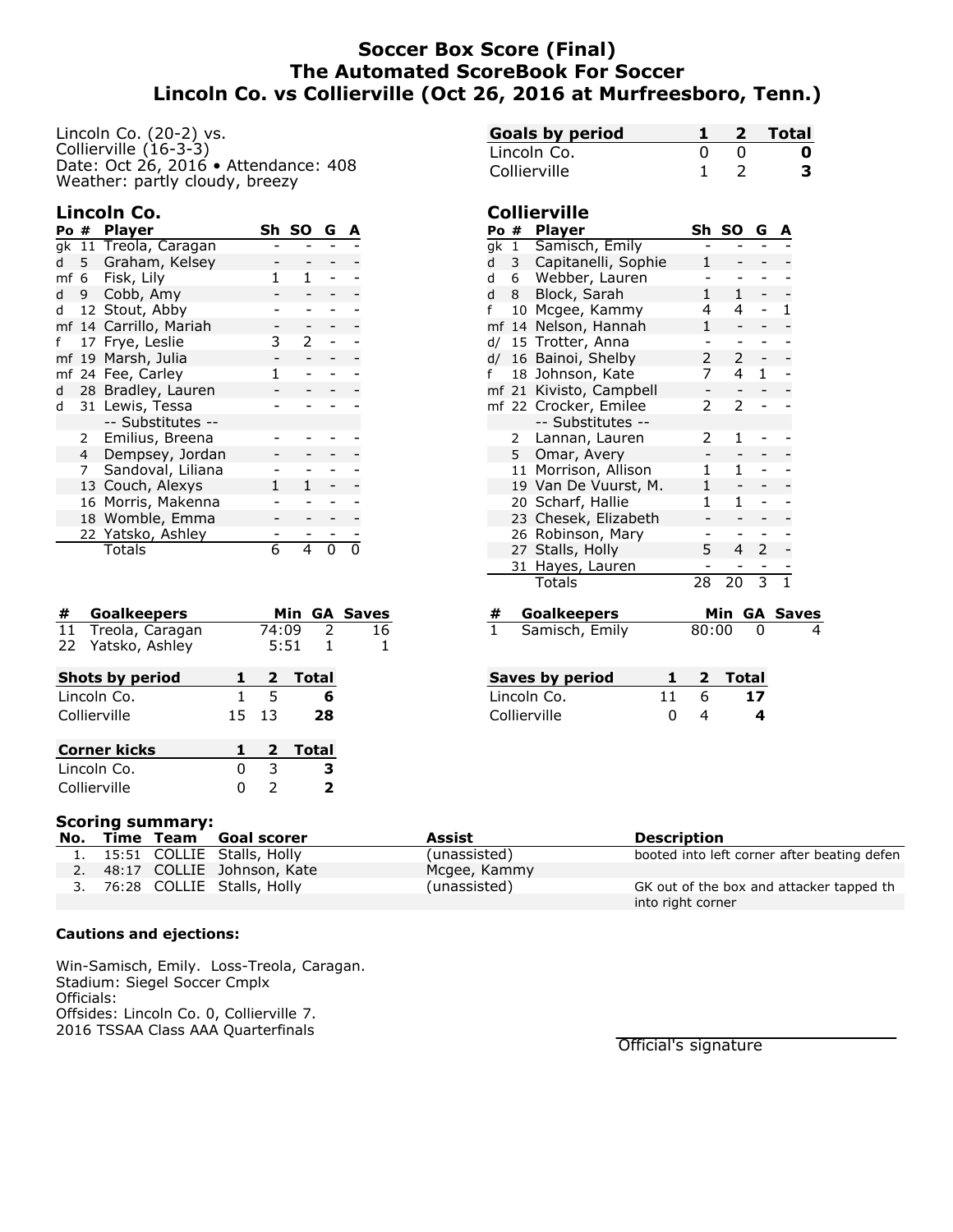# **Soccer Box Score (Final) The Automated ScoreBook For Soccer Lincoln Co. vs Collierville (Oct 26, 2016 at Murfreesboro, Tenn.)**

Lincoln Co. (20-2) vs. Collierville (16-3-3) Date: Oct 26, 2016 • Attendance: 408 Weather: partly cloudy, breezy

## **Lincoln Co.**

|     | Po #           | <b>Player</b>          | Sh | SO. | G | A |
|-----|----------------|------------------------|----|-----|---|---|
|     |                | gk 11 Treola, Caragan  |    |     |   |   |
| d   |                | 5 Graham, Kelsey       |    |     |   |   |
|     |                | mf 6 Fisk, Lily        |    |     |   |   |
| d l |                | 9 Cobb, Amy            |    |     |   |   |
|     |                | d 12 Stout, Abby       |    |     |   |   |
|     |                | mf 14 Carrillo, Mariah |    |     |   |   |
| f   |                | 17 Frye, Leslie        | 3  | 2   |   |   |
|     |                | mf 19 Marsh, Julia     |    |     |   |   |
|     |                | mf 24 Fee, Carley      | 1  |     |   |   |
| d   |                | 28 Bradley, Lauren     |    |     |   |   |
| d   |                | 31 Lewis, Tessa        |    |     |   |   |
|     |                | -- Substitutes --      |    |     |   |   |
|     |                | 2 Emilius, Breena      |    |     |   |   |
|     |                | 4 Dempsey, Jordan      |    |     |   |   |
|     | $\overline{7}$ | Sandoval, Liliana      |    |     |   |   |
|     |                | 13 Couch, Alexys       |    |     |   |   |
|     | 16             | Morris, Makenna        |    |     |   |   |
|     | 18             | Womble, Emma           |    |     |   |   |
|     |                | 22 Yatsko, Ashley      |    |     |   |   |
|     |                | <b>Totals</b>          | 6  | 4   | N |   |

|    | # Goalkeepers          |    |                |  |              | Min GA Saves |
|----|------------------------|----|----------------|--|--------------|--------------|
|    | 11 Treola, Caragan     |    |                |  | 74:09 2      | 16           |
| 22 | Yatsko, Ashley         |    | 5:51           |  | 1            |              |
|    |                        |    |                |  |              |              |
|    | <b>Shots by period</b> |    | 2              |  | <b>Total</b> |              |
|    | Lincoln Co.            | 1  | 5              |  | 6            |              |
|    | Collierville           | 15 | 13             |  | 28           |              |
|    |                        |    |                |  |              |              |
|    | <b>Corner kicks</b>    |    | $\overline{2}$ |  | <b>Total</b> |              |
|    | Lincoln Co.            | 0  | 3              |  | з            |              |
|    | Collierville           |    | 2              |  | 2            |              |

| <b>Goals by period</b> |  | 2 Total |
|------------------------|--|---------|
| Lincoln Co.            |  | o       |
| Collierville           |  |         |

### **Collierville**

| Po # |              | <b>Player</b>           | Sh            | <b>SO</b>      | G | A            |
|------|--------------|-------------------------|---------------|----------------|---|--------------|
| gk   | 1            | Samisch, Emily          |               |                |   |              |
| d    | 3            | Capitanelli, Sophie     | 1             |                |   |              |
| d    | 6            | Webber, Lauren          |               |                |   |              |
| d    | 8            | Block, Sarah            | 1             | 1              |   |              |
| f    | 10           | Mcgee, Kammy            | 4             | 4              |   | 1            |
|      | mf 14        | Nelson, Hannah          | 1             |                |   |              |
| d/   |              | 15 Trotter, Anna        |               |                |   |              |
| d/   | 16           | Bainoi, Shelby          | $\mathcal{P}$ | $\overline{2}$ |   |              |
| f    |              | 18 Johnson, Kate        |               | 4              | 1 |              |
|      |              | mf 21 Kivisto, Campbell |               |                |   |              |
|      |              | mf 22 Crocker, Emilee   | 2             | 2              |   |              |
|      |              | -- Substitutes --       |               |                |   |              |
|      | $\mathbf{2}$ | Lannan, Lauren          | 2             | 1              |   |              |
|      | 5            | Omar, Avery             |               |                |   |              |
|      |              | 11 Morrison, Allison    |               | 1              |   |              |
|      |              | 19 Van De Vuurst, M.    | 1.            |                |   |              |
|      | 20           | Scharf, Hallie          | 1             | 1              |   |              |
|      | 23           | Chesek, Elizabeth       |               |                |   |              |
|      | 26           | Robinson, Mary          |               |                |   |              |
|      |              | 27 Stalls, Holly        | 5             | 4              | 2 |              |
|      |              | 31 Hayes, Lauren        |               |                |   |              |
|      |              | Totals                  | 28            | 20             | 3 | $\mathbf{1}$ |

| # Goalkeepers  |           | Min GA Saves |
|----------------|-----------|--------------|
| Samisch, Emily | $80:00$ 0 | 4            |

| Saves by period |        |            | 2 Total |
|-----------------|--------|------------|---------|
| Lincoln Co.     | 11     | $\sqrt{2}$ | 17      |
| Collierville    | $\cup$ | Δ          | 4       |

| <b>Scoring summary:</b> |  |               |                               |              |                                             |  |
|-------------------------|--|---------------|-------------------------------|--------------|---------------------------------------------|--|
|                         |  | No. Time Team | Goal scorer                   | Assist       | <b>Description</b>                          |  |
|                         |  |               | 1. 15:51 COLLIE Stalls, Holly | (unassisted) | booted into left corner after beating defen |  |
|                         |  |               | 2. 48:17 COLLIE Johnson, Kate | Mcgee, Kammy |                                             |  |
|                         |  |               | 3. 76:28 COLLIE Stalls, Holly | (unassisted) | GK out of the box and attacker tapped th    |  |
|                         |  |               |                               |              | into right corner                           |  |

#### **Cautions and ejections:**

Win-Samisch, Emily. Loss-Treola, Caragan. Stadium: Siegel Soccer Cmplx Officials: Offsides: Lincoln Co. 0, Collierville 7. 2016 TSSAA Class AAA Quarterfinals

Official's signature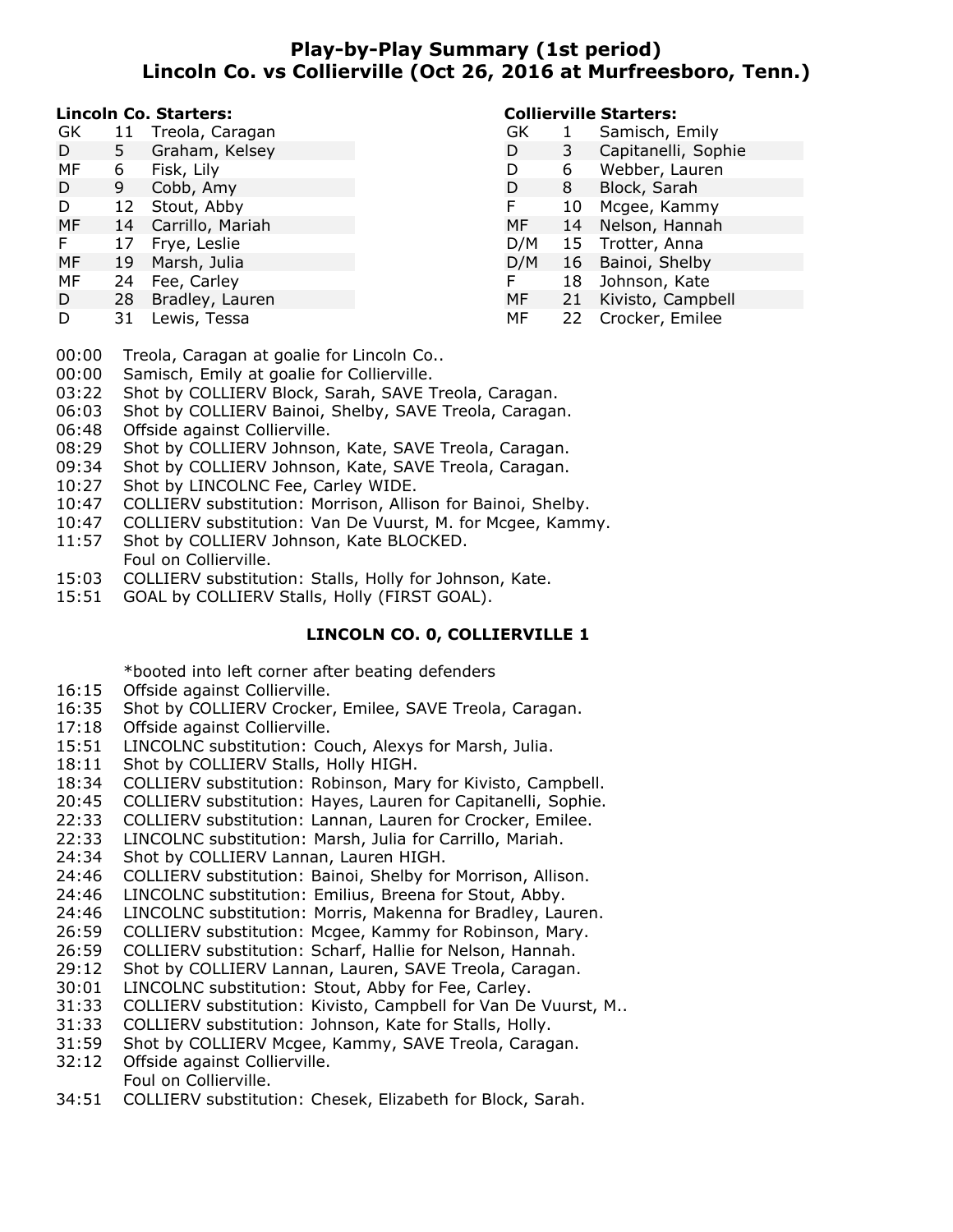# **Play-by-Play Summary (1st period) Lincoln Co. vs Collierville (Oct 26, 2016 at Murfreesboro, Tenn.)**

**Collierville Starters:**

#### **Lincoln Co. Starters:**

| GK | 11 | Treola, Caragan     | GK  |    | Samisch, Emily      |
|----|----|---------------------|-----|----|---------------------|
| D  | 5. | Graham, Kelsey      | D   | 3  | Capitanelli, Sophie |
| MF | 6  | Fisk, Lily          | D   | 6  | Webber, Lauren      |
| D  | 9  | Cobb, Amy           | D   | 8  | Block, Sarah        |
| D  |    | 12 Stout, Abby      | F   | 10 | Mcgee, Kammy        |
| MF |    | 14 Carrillo, Mariah | MF  |    | 14 Nelson, Hannah   |
| F. | 17 | Frye, Leslie        | D/M |    | 15 Trotter, Anna    |
| MF | 19 | Marsh, Julia        | D/M |    | 16 Bainoi, Shelby   |
| MF | 24 | Fee, Carley         |     | 18 | Johnson, Kate       |
| D  | 28 | Bradley, Lauren     | MF. | 21 | Kivisto, Campbell   |
| D  | 31 | Lewis, Tessa        | MF  |    | 22 Crocker, Emilee  |

### 00:00 Treola, Caragan at goalie for Lincoln Co..

- 00:00 Samisch, Emily at goalie for Collierville.
- 03:22 Shot by COLLIERV Block, Sarah, SAVE Treola, Caragan.
- 06:03 Shot by COLLIERV Bainoi, Shelby, SAVE Treola, Caragan.
- 06:48 Offside against Collierville.
- 08:29 Shot by COLLIERV Johnson, Kate, SAVE Treola, Caragan.
- 09:34 Shot by COLLIERV Johnson, Kate, SAVE Treola, Caragan.
- 10:27 Shot by LINCOLNC Fee, Carley WIDE.
- 10:47 COLLIERV substitution: Morrison, Allison for Bainoi, Shelby.
- 10:47 COLLIERV substitution: Van De Vuurst, M. for Mcgee, Kammy.
- 11:57 Shot by COLLIERV Johnson, Kate BLOCKED.
- Foul on Collierville.
- 15:03 COLLIERV substitution: Stalls, Holly for Johnson, Kate.
- 15:51 GOAL by COLLIERV Stalls, Holly (FIRST GOAL).

### **LINCOLN CO. 0, COLLIERVILLE 1**

\*booted into left corner after beating defenders

- 16:15 Offside against Collierville.
- 16:35 Shot by COLLIERV Crocker, Emilee, SAVE Treola, Caragan.
- 17:18 Offside against Collierville.
- 15:51 LINCOLNC substitution: Couch, Alexys for Marsh, Julia.
- 18:11 Shot by COLLIERV Stalls, Holly HIGH.
- 18:34 COLLIERV substitution: Robinson, Mary for Kivisto, Campbell.
- 20:45 COLLIERV substitution: Hayes, Lauren for Capitanelli, Sophie.
- 22:33 COLLIERV substitution: Lannan, Lauren for Crocker, Emilee.
- 22:33 LINCOLNC substitution: Marsh, Julia for Carrillo, Mariah.
- 24:34 Shot by COLLIERV Lannan, Lauren HIGH.
- 24:46 COLLIERV substitution: Bainoi, Shelby for Morrison, Allison.
- 24:46 LINCOLNC substitution: Emilius, Breena for Stout, Abby.
- 24:46 LINCOLNC substitution: Morris, Makenna for Bradley, Lauren.
- 26:59 COLLIERV substitution: Mcgee, Kammy for Robinson, Mary.
- 26:59 COLLIERV substitution: Scharf, Hallie for Nelson, Hannah.
- 29:12 Shot by COLLIERV Lannan, Lauren, SAVE Treola, Caragan.
- 30:01 LINCOLNC substitution: Stout, Abby for Fee, Carley.
- 31:33 COLLIERV substitution: Kivisto, Campbell for Van De Vuurst, M..
- 31:33 COLLIERV substitution: Johnson, Kate for Stalls, Holly.
- 31:59 Shot by COLLIERV Mcgee, Kammy, SAVE Treola, Caragan.
- 32:12 Offside against Collierville. Foul on Collierville.
- 34:51 COLLIERV substitution: Chesek, Elizabeth for Block, Sarah.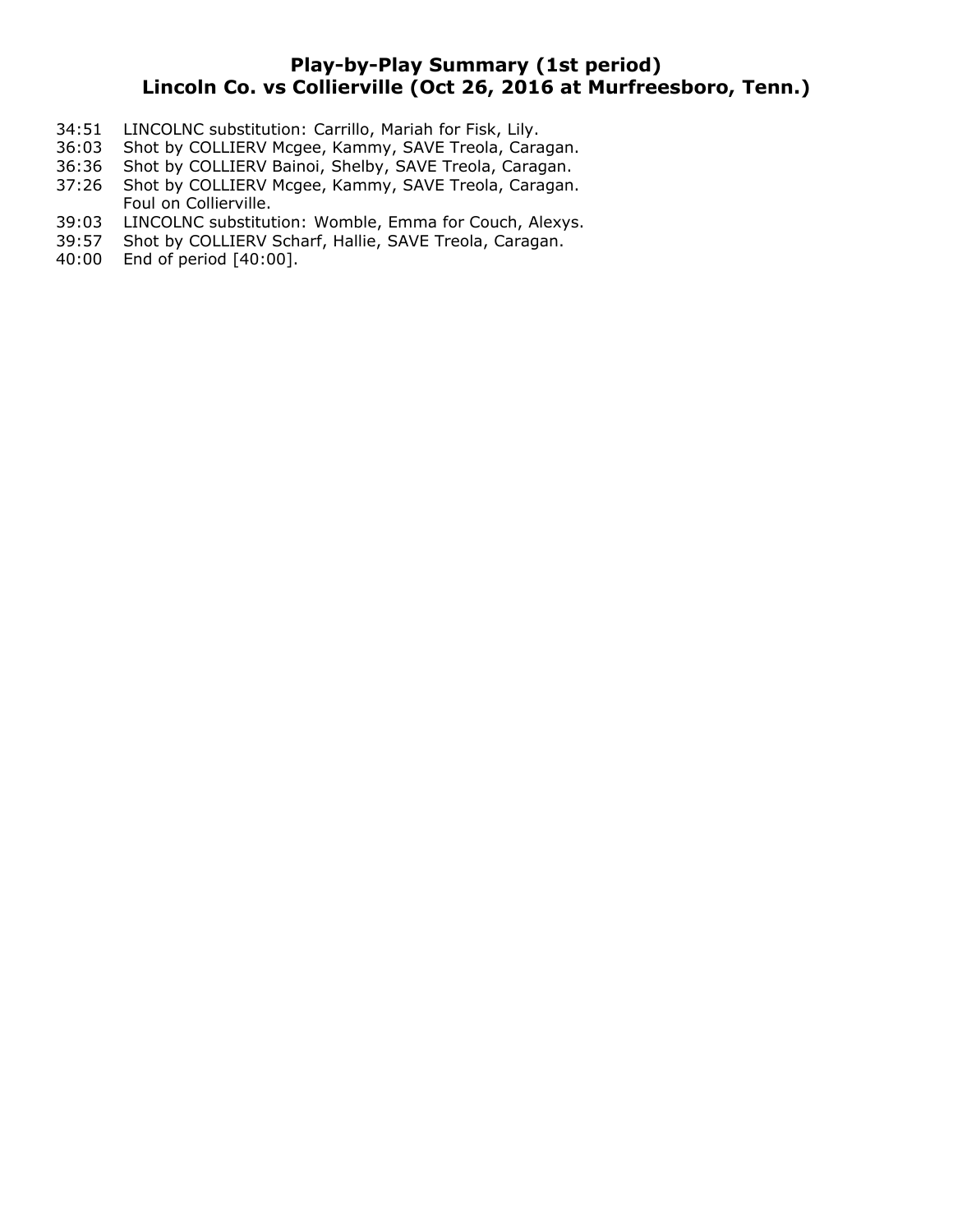# **Play-by-Play Summary (1st period) Lincoln Co. vs Collierville (Oct 26, 2016 at Murfreesboro, Tenn.)**

- 34:51 LINCOLNC substitution: Carrillo, Mariah for Fisk, Lily.
- 36:03 Shot by COLLIERV Mcgee, Kammy, SAVE Treola, Caragan.
- 36:36 Shot by COLLIERV Bainoi, Shelby, SAVE Treola, Caragan.
- 37:26 Shot by COLLIERV Mcgee, Kammy, SAVE Treola, Caragan. Foul on Collierville.
- 39:03 LINCOLNC substitution: Womble, Emma for Couch, Alexys.<br>39:57 Shot by COLLIERV Scharf, Hallie, SAVE Treola, Caragan.
- Shot by COLLIERV Scharf, Hallie, SAVE Treola, Caragan.
- 40:00 End of period [40:00].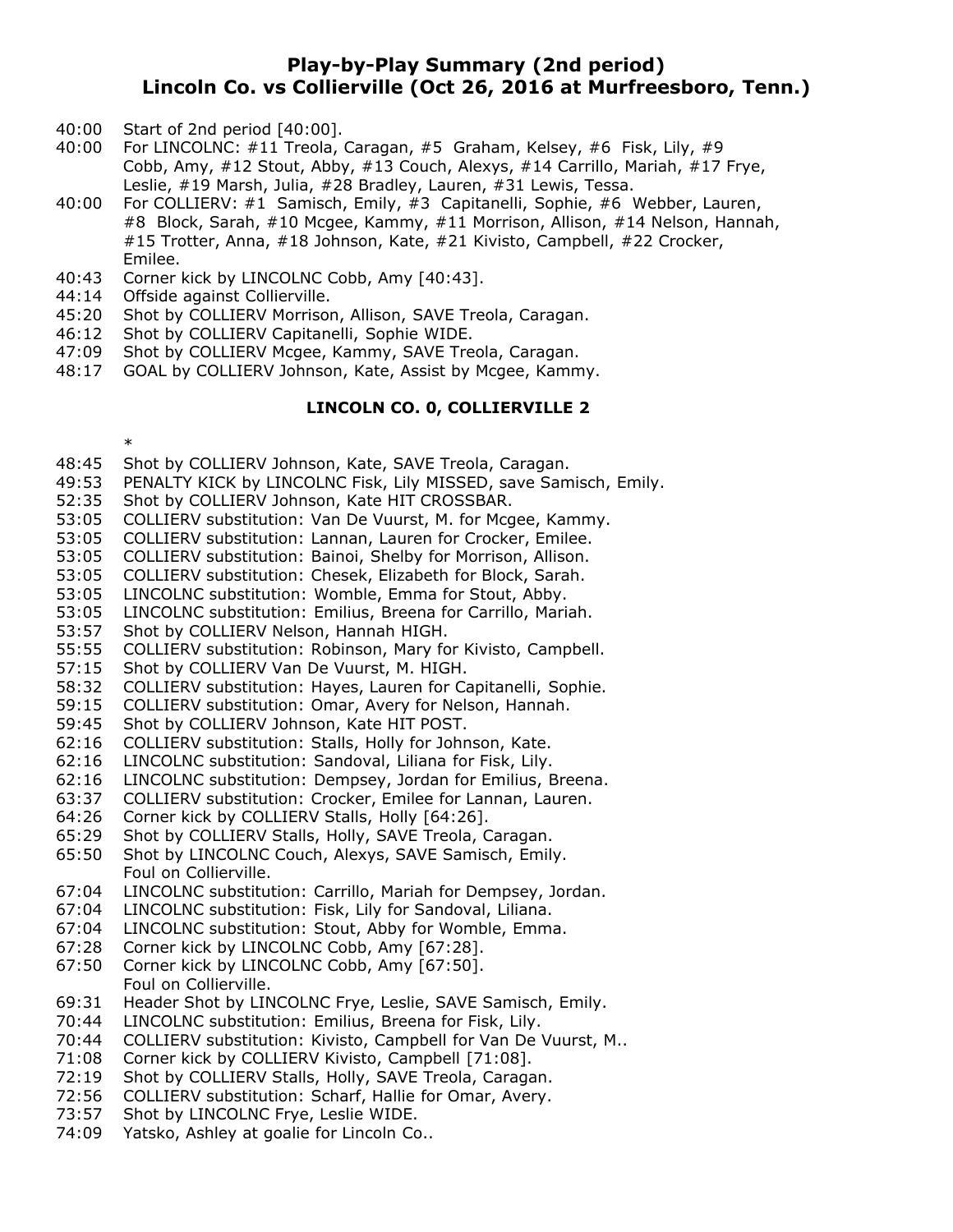## **Play-by-Play Summary (2nd period) Lincoln Co. vs Collierville (Oct 26, 2016 at Murfreesboro, Tenn.)**

- 40:00 Start of 2nd period [40:00].
- 40:00 For LINCOLNC: #11 Treola, Caragan, #5 Graham, Kelsey, #6 Fisk, Lily, #9 Cobb, Amy, #12 Stout, Abby, #13 Couch, Alexys, #14 Carrillo, Mariah, #17 Frye, Leslie, #19 Marsh, Julia, #28 Bradley, Lauren, #31 Lewis, Tessa.
- 40:00 For COLLIERV: #1 Samisch, Emily, #3 Capitanelli, Sophie, #6 Webber, Lauren, #8 Block, Sarah, #10 Mcgee, Kammy, #11 Morrison, Allison, #14 Nelson, Hannah, #15 Trotter, Anna, #18 Johnson, Kate, #21 Kivisto, Campbell, #22 Crocker, Emilee.
- 40:43 Corner kick by LINCOLNC Cobb, Amy [40:43].
- 44:14 Offside against Collierville.
- 45:20 Shot by COLLIERV Morrison, Allison, SAVE Treola, Caragan.
- 46:12 Shot by COLLIERV Capitanelli, Sophie WIDE.
- 47:09 Shot by COLLIERV Mcgee, Kammy, SAVE Treola, Caragan.
- 48:17 GOAL by COLLIERV Johnson, Kate, Assist by Mcgee, Kammy.

#### **LINCOLN CO. 0, COLLIERVILLE 2**

\*

- 48:45 Shot by COLLIERV Johnson, Kate, SAVE Treola, Caragan.
- 49:53 PENALTY KICK by LINCOLNC Fisk, Lily MISSED, save Samisch, Emily.
- 52:35 Shot by COLLIERV Johnson, Kate HIT CROSSBAR.
- 53:05 COLLIERV substitution: Van De Vuurst, M. for Mcgee, Kammy.
- 53:05 COLLIERV substitution: Lannan, Lauren for Crocker, Emilee.
- 53:05 COLLIERV substitution: Bainoi, Shelby for Morrison, Allison.
- 53:05 COLLIERV substitution: Chesek, Elizabeth for Block, Sarah.
- 53:05 LINCOLNC substitution: Womble, Emma for Stout, Abby.<br>53:05 LINCOLNC substitution: Emilius, Breena for Carrillo, Mari
- LINCOLNC substitution: Emilius, Breena for Carrillo, Mariah.
- 53:57 Shot by COLLIERV Nelson, Hannah HIGH.
- 55:55 COLLIERV substitution: Robinson, Mary for Kivisto, Campbell.
- 57:15 Shot by COLLIERV Van De Vuurst, M. HIGH.
- 58:32 COLLIERV substitution: Hayes, Lauren for Capitanelli, Sophie.
- 59:15 COLLIERV substitution: Omar, Avery for Nelson, Hannah.
- 59:45 Shot by COLLIERV Johnson, Kate HIT POST.
- 62:16 COLLIERV substitution: Stalls, Holly for Johnson, Kate.
- 62:16 LINCOLNC substitution: Sandoval, Liliana for Fisk, Lily.
- 62:16 LINCOLNC substitution: Dempsey, Jordan for Emilius, Breena.
- 63:37 COLLIERV substitution: Crocker, Emilee for Lannan, Lauren.
- 64:26 Corner kick by COLLIERV Stalls, Holly [64:26].
- 65:29 Shot by COLLIERV Stalls, Holly, SAVE Treola, Caragan.
- 65:50 Shot by LINCOLNC Couch, Alexys, SAVE Samisch, Emily. Foul on Collierville.
- 67:04 LINCOLNC substitution: Carrillo, Mariah for Dempsey, Jordan.
- 67:04 LINCOLNC substitution: Fisk, Lily for Sandoval, Liliana.
- 67:04 LINCOLNC substitution: Stout, Abby for Womble, Emma.
- 67:28 Corner kick by LINCOLNC Cobb, Amy [67:28].
- 67:50 Corner kick by LINCOLNC Cobb, Amy [67:50]. Foul on Collierville.
- 69:31 Header Shot by LINCOLNC Frye, Leslie, SAVE Samisch, Emily.
- 70:44 LINCOLNC substitution: Emilius, Breena for Fisk, Lily.
- 70:44 COLLIERV substitution: Kivisto, Campbell for Van De Vuurst, M..
- 71:08 Corner kick by COLLIERV Kivisto, Campbell [71:08].
- 72:19 Shot by COLLIERV Stalls, Holly, SAVE Treola, Caragan.
- 72:56 COLLIERV substitution: Scharf, Hallie for Omar, Avery.
- 73:57 Shot by LINCOLNC Frye, Leslie WIDE.
- 74:09 Yatsko, Ashley at goalie for Lincoln Co..